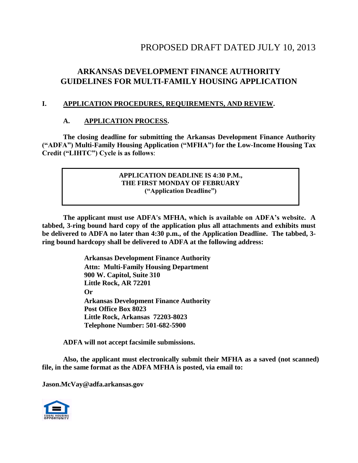# PROPOSED DRAFT DATED JULY 10, 2013

# **ARKANSAS DEVELOPMENT FINANCE AUTHORITY GUIDELINES FOR MULTI-FAMILY HOUSING APPLICATION**

## **I. APPLICATION PROCEDURES, REQUIREMENTS, AND REVIEW.**

## **A. APPLICATION PROCESS.**

**The closing deadline for submitting the Arkansas Development Finance Authority ("ADFA") Multi-Family Housing Application ("MFHA") for the Low-Income Housing Tax Credit ("LIHTC") Cycle is as follows**:

## **APPLICATION DEADLINE IS 4:30 P.M., THE FIRST MONDAY OF FEBRUARY ("Application Deadline")**

**The applicant must use ADFA's MFHA, which is available on ADFA's website. A tabbed, 3-ring bound hard copy of the application plus all attachments and exhibits must be delivered to ADFA no later than 4:30 p.m., of the Application Deadline. The tabbed, 3 ring bound hardcopy shall be delivered to ADFA at the following address:**

> **Arkansas Development Finance Authority Attn: Multi-Family Housing Department 900 W. Capitol, Suite 310 Little Rock, AR 72201 Or Arkansas Development Finance Authority Post Office Box 8023 Little Rock, Arkansas 72203-8023 Telephone Number: 501-682-5900**

**ADFA will not accept facsimile submissions.**

**Also, the applicant must electronically submit their MFHA as a saved (not scanned) file, in the same format as the ADFA MFHA is posted, via email to:**

**Jason.McVay@adfa.arkansas.gov**

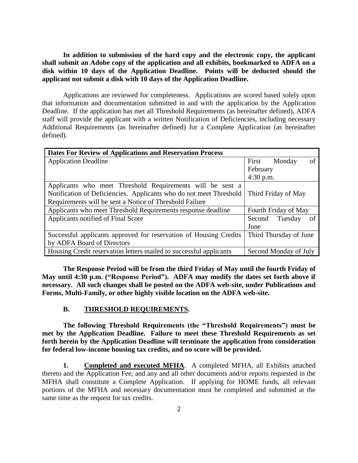**In addition to submission of the hard copy and the electronic copy, the applicant shall submit an Adobe copy of the application and all exhibits, bookmarked to ADFA on a disk within 10 days of the Application Deadline. Points will be deducted should the applicant not submit a disk with 10 days of the Application Deadline.**

Applications are reviewed for completeness. Applications are scored based solely upon that information and documentation submitted in and with the application by the Application Deadline. If the application has met all Threshold Requirements (as hereinafter defined), ADFA staff will provide the applicant with a written Notification of Deficiencies, including necessary Additional Requirements (as hereinafter defined) for a Complete Application (as hereinafter defined).

| <b>Dates For Review of Applications and Reservation Process</b>    |                         |  |  |
|--------------------------------------------------------------------|-------------------------|--|--|
| <b>Application Deadline</b>                                        | of<br>Monday<br>First   |  |  |
|                                                                    | February                |  |  |
|                                                                    | $4:30$ p.m.             |  |  |
| Applicants who meet Threshold Requirements will be sent a          |                         |  |  |
| Notification of Deficiencies. Applicants who do not meet Threshold | Third Friday of May     |  |  |
| Requirements will be sent a Notice of Threshold Failure            |                         |  |  |
| Applicants who meet Threshold Requirements response deadline       | Fourth Friday of May    |  |  |
| Applicants notified of Final Score                                 | of<br>Second<br>Tuesday |  |  |
|                                                                    | June                    |  |  |
| Successful applicants approved for reservation of Housing Credits  | Third Thursday of June  |  |  |
| by ADFA Board of Directors                                         |                         |  |  |
| Housing Credit reservation letters mailed to successful applicants | Second Monday of July   |  |  |

**The Response Period will be from the third Friday of May until the fourth Friday of May until 4:30 p.m. ("Response Period"). ADFA may modify the dates set forth above if necessary. All such changes shall be posted on the ADFA web-site, under Publications and Forms, Multi-Family, or other highly visible location on the ADFA web-site.**

#### **B. THRESHOLD REQUIREMENTS.**

**The following Threshold Requirements (the "Threshold Requirements") must be met by the Application Deadline. Failure to meet these Threshold Requirements as set forth herein by the Application Deadline will terminate the application from consideration for federal low-income housing tax credits, and no score will be provided.**

**1. Completed and executed MFHA**. A completed MFHA, all Exhibits attached thereto and the Application Fee, and any and all other documents and/or reports requested in the MFHA shall constitute a Complete Application. If applying for HOME funds, all relevant portions of the MFHA and necessary documentation must be completed and submitted at the same time as the request for tax credits.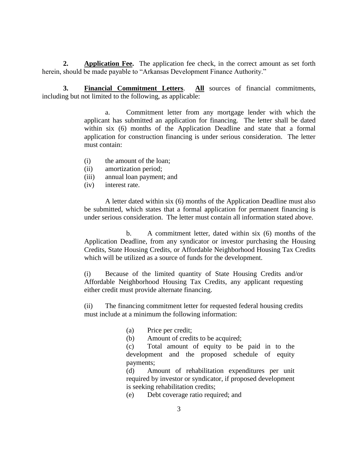**2. Application Fee.** The application fee check, in the correct amount as set forth herein, should be made payable to "Arkansas Development Finance Authority."

**3. Financial Commitment Letters**. **All** sources of financial commitments, including but not limited to the following, as applicable:

> a. Commitment letter from any mortgage lender with which the applicant has submitted an application for financing. The letter shall be dated within six (6) months of the Application Deadline and state that a formal application for construction financing is under serious consideration. The letter must contain:

- (i) the amount of the loan;
- (ii) amortization period;
- (iii) annual loan payment; and
- (iv) interest rate.

A letter dated within six (6) months of the Application Deadline must also be submitted, which states that a formal application for permanent financing is under serious consideration. The letter must contain all information stated above.

b. A commitment letter, dated within six (6) months of the Application Deadline, from any syndicator or investor purchasing the Housing Credits, State Housing Credits, or Affordable Neighborhood Housing Tax Credits which will be utilized as a source of funds for the development.

(i) Because of the limited quantity of State Housing Credits and/or Affordable Neighborhood Housing Tax Credits, any applicant requesting either credit must provide alternate financing.

(ii) The financing commitment letter for requested federal housing credits must include at a minimum the following information:

(a) Price per credit;

(b) Amount of credits to be acquired;

(c) Total amount of equity to be paid in to the development and the proposed schedule of equity payments;

(d) Amount of rehabilitation expenditures per unit required by investor or syndicator, if proposed development is seeking rehabilitation credits;

(e) Debt coverage ratio required; and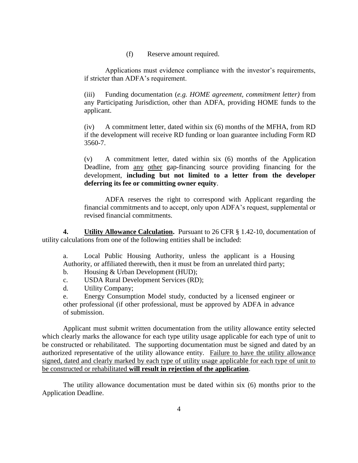(f) Reserve amount required.

Applications must evidence compliance with the investor's requirements, if stricter than ADFA's requirement.

(iii) Funding documentation (*e.g. HOME agreement, commitment letter)* from any Participating Jurisdiction, other than ADFA, providing HOME funds to the applicant.

(iv) A commitment letter, dated within six (6) months of the MFHA, from RD if the development will receive RD funding or loan guarantee including Form RD 3560-7.

(v) A commitment letter, dated within six (6) months of the Application Deadline, from any other gap-financing source providing financing for the development, **including but not limited to a letter from the developer deferring its fee or committing owner equity**.

ADFA reserves the right to correspond with Applicant regarding the financial commitments and to accept, only upon ADFA's request, supplemental or revised financial commitments.

**4. Utility Allowance Calculation.** Pursuant to 26 CFR § 1.42-10, documentation of utility calculations from one of the following entities shall be included:

a. Local Public Housing Authority, unless the applicant is a Housing Authority, or affiliated therewith, then it must be from an unrelated third party;

- b. Housing & Urban Development (HUD);
- c. USDA Rural Development Services (RD);
- d. Utility Company;

e. Energy Consumption Model study, conducted by a licensed engineer or other professional (if other professional, must be approved by ADFA in advance of submission.

Applicant must submit written documentation from the utility allowance entity selected which clearly marks the allowance for each type utility usage applicable for each type of unit to be constructed or rehabilitated. The supporting documentation must be signed and dated by an authorized representative of the utility allowance entity. Failure to have the utility allowance signed, dated and clearly marked by each type of utility usage applicable for each type of unit to be constructed or rehabilitated **will result in rejection of the application**.

The utility allowance documentation must be dated within six (6) months prior to the Application Deadline.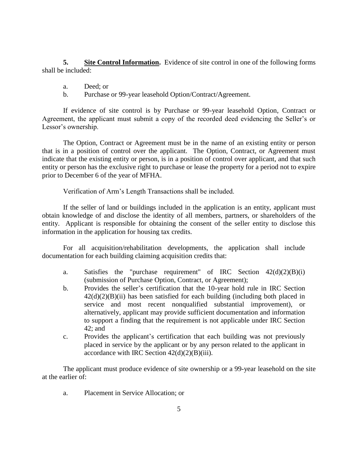**5. Site Control Information.** Evidence of site control in one of the following forms shall be included:

- a. Deed; or
- b. Purchase or 99-year leasehold Option/Contract/Agreement.

If evidence of site control is by Purchase or 99-year leasehold Option, Contract or Agreement, the applicant must submit a copy of the recorded deed evidencing the Seller's or Lessor's ownership.

The Option, Contract or Agreement must be in the name of an existing entity or person that is in a position of control over the applicant. The Option, Contract, or Agreement must indicate that the existing entity or person, is in a position of control over applicant, and that such entity or person has the exclusive right to purchase or lease the property for a period not to expire prior to December 6 of the year of MFHA.

Verification of Arm's Length Transactions shall be included.

If the seller of land or buildings included in the application is an entity, applicant must obtain knowledge of and disclose the identity of all members, partners, or shareholders of the entity. Applicant is responsible for obtaining the consent of the seller entity to disclose this information in the application for housing tax credits.

For all acquisition/rehabilitation developments, the application shall include documentation for each building claiming acquisition credits that:

- a. Satisfies the "purchase requirement" of IRC Section 42(d)(2)(B)(i) (submission of Purchase Option, Contract, or Agreement);
- b. Provides the seller's certification that the 10-year hold rule in IRC Section  $42(d)(2)(B)(ii)$  has been satisfied for each building (including both placed in service and most recent nonqualified substantial improvement), or alternatively, applicant may provide sufficient documentation and information to support a finding that the requirement is not applicable under IRC Section 42; and
- c. Provides the applicant's certification that each building was not previously placed in service by the applicant or by any person related to the applicant in accordance with IRC Section  $42(d)(2)(B)(iii)$ .

The applicant must produce evidence of site ownership or a 99-year leasehold on the site at the earlier of:

a. Placement in Service Allocation; or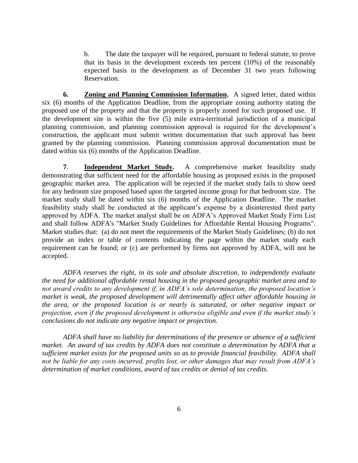b. The date the taxpayer will be required, pursuant to federal statute, to prove that its basis in the development exceeds ten percent (10%) of the reasonably expected basis in the development as of December 31 two years following Reservation.

**6. Zoning and Planning Commission Information.** A signed letter, dated within six (6) months of the Application Deadline, from the appropriate zoning authority stating the proposed use of the property and that the property is properly zoned for such proposed use. If the development site is within the five (5) mile extra-territorial jurisdiction of a municipal planning commission, and planning commission approval is required for the development's construction, the applicant must submit written documentation that such approval has been granted by the planning commission. Planning commission approval documentation must be dated within six (6) months of the Application Deadline.

**7**. **Independent Market Study.** A comprehensive market feasibility study demonstrating that sufficient need for the affordable housing as proposed exists in the proposed geographic market area. The application will be rejected if the market study fails to show need for any bedroom size proposed based upon the targeted income group for that bedroom size. The market study shall be dated within six (6) months of the Application Deadline. The market feasibility study shall be conducted at the applicant's expense by a disinterested third party approved by ADFA. The market analyst shall be on ADFA's Approved Market Study Firm List and shall follow ADFA's "Market Study Guidelines for Affordable Rental Housing Programs". Market studies that: (a) do not meet the requirements of the Market Study Guidelines; (b) do not provide an index or table of contents indicating the page within the market study each requirement can be found; or (c) are performed by firms not approved by ADFA, will not be accepted.

*ADFA reserves the right, in its sole and absolute discretion, to independently evaluate the need for additional affordable rental housing in the proposed geographic market area and to not award credits to any development if, in ADFA's sole determination, the proposed location's market is weak, the proposed development will detrimentally affect other affordable housing in the area, or the proposed location is or nearly is saturated, or other negative impact or projection, even if the proposed development is otherwise eligible and even if the market study's conclusions do not indicate any negative impact or projection.* 

*ADFA shall have no liability for determinations of the presence or absence of a sufficient market. An award of tax credits by ADFA does not constitute a determination by ADFA that a sufficient market exists for the proposed units so as to provide financial feasibility. ADFA shall not be liable for any costs incurred, profits lost, or other damages that may result from ADFA's determination of market conditions, award of tax credits or denial of tax credits.*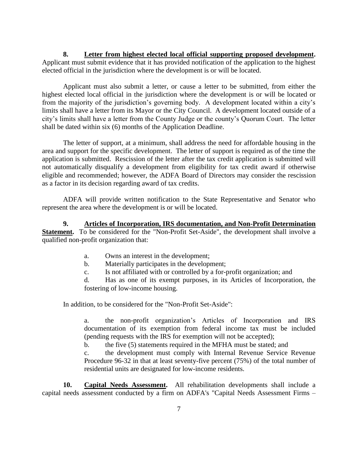**8. Letter from highest elected local official supporting proposed development.** Applicant must submit evidence that it has provided notification of the application to the highest elected official in the jurisdiction where the development is or will be located.

Applicant must also submit a letter, or cause a letter to be submitted, from either the highest elected local official in the jurisdiction where the development is or will be located or from the majority of the jurisdiction's governing body. A development located within a city's limits shall have a letter from its Mayor or the City Council. A development located outside of a city's limits shall have a letter from the County Judge or the county's Quorum Court. The letter shall be dated within six (6) months of the Application Deadline.

The letter of support, at a minimum, shall address the need for affordable housing in the area and support for the specific development. The letter of support is required as of the time the application is submitted. Rescission of the letter after the tax credit application is submitted will not automatically disqualify a development from eligibility for tax credit award if otherwise eligible and recommended; however, the ADFA Board of Directors may consider the rescission as a factor in its decision regarding award of tax credits.

ADFA will provide written notification to the State Representative and Senator who represent the area where the development is or will be located.

**9. Articles of Incorporation, IRS documentation, and Non-Profit Determination Statement.** To be considered for the "Non-Profit Set-Aside", the development shall involve a qualified non-profit organization that:

- a. Owns an interest in the development;
- b. Materially participates in the development;
- c. Is not affiliated with or controlled by a for-profit organization; and

d. Has as one of its exempt purposes, in its Articles of Incorporation, the fostering of low-income housing.

In addition, to be considered for the "Non-Profit Set-Aside":

a. the non-profit organization's Articles of Incorporation and IRS documentation of its exemption from federal income tax must be included (pending requests with the IRS for exemption will not be accepted);

b. the five (5) statements required in the MFHA must be stated; and

c. the development must comply with Internal Revenue Service Revenue Procedure 96-32 in that at least seventy-five percent (75%) of the total number of residential units are designated for low-income residents.

**10. Capital Needs Assessment.** All rehabilitation developments shall include a capital needs assessment conducted by a firm on ADFA's "Capital Needs Assessment Firms –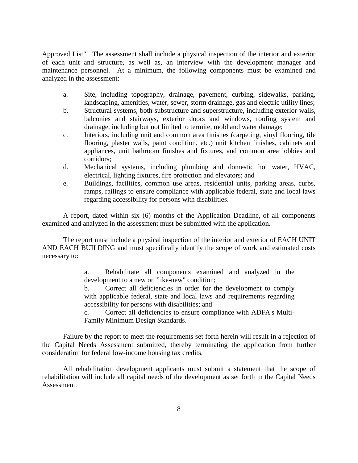Approved List". The assessment shall include a physical inspection of the interior and exterior of each unit and structure, as well as, an interview with the development manager and maintenance personnel. At a minimum, the following components must be examined and analyzed in the assessment:

- a. Site, including topography, drainage, pavement, curbing, sidewalks, parking, landscaping, amenities, water, sewer, storm drainage, gas and electric utility lines;
- b. Structural systems, both substructure and superstructure, including exterior walls, balconies and stairways, exterior doors and windows, roofing system and drainage, including but not limited to termite, mold and water damage;
- c. Interiors, including unit and common area finishes (carpeting, vinyl flooring, tile flooring, plaster walls, paint condition, etc.) unit kitchen finishes, cabinets and appliances, unit bathroom finishes and fixtures, and common area lobbies and corridors;
- d. Mechanical systems, including plumbing and domestic hot water, HVAC, electrical, lighting fixtures, fire protection and elevators; and
- e. Buildings, facilities, common use areas, residential units, parking areas, curbs, ramps, railings to ensure compliance with applicable federal, state and local laws regarding accessibility for persons with disabilities.

A report, dated within six (6) months of the Application Deadline, of all components examined and analyzed in the assessment must be submitted with the application.

The report must include a physical inspection of the interior and exterior of EACH UNIT AND EACH BUILDING and must specifically identify the scope of work and estimated costs necessary to:

> a. Rehabilitate all components examined and analyzed in the development to a new or "like-new" condition;

> b. Correct all deficiencies in order for the development to comply with applicable federal, state and local laws and requirements regarding accessibility for persons with disabilities; and

> c. Correct all deficiencies to ensure compliance with ADFA's Multi-Family Minimum Design Standards.

Failure by the report to meet the requirements set forth herein will result in a rejection of the Capital Needs Assessment submitted, thereby terminating the application from further consideration for federal low-income housing tax credits.

All rehabilitation development applicants must submit a statement that the scope of rehabilitation will include all capital needs of the development as set forth in the Capital Needs Assessment.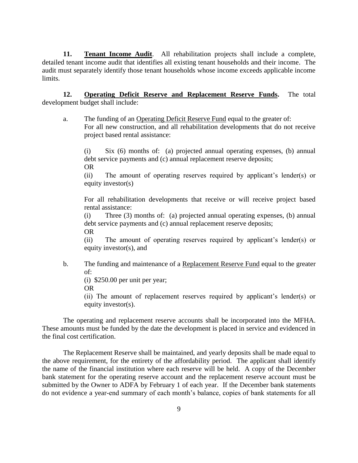**11. Tenant Income Audit**. All rehabilitation projects shall include a complete, detailed tenant income audit that identifies all existing tenant households and their income. The audit must separately identify those tenant households whose income exceeds applicable income limits.

**12. Operating Deficit Reserve and Replacement Reserve Funds.** The total development budget shall include:

a. The funding of an Operating Deficit Reserve Fund equal to the greater of: For all new construction, and all rehabilitation developments that do not receive project based rental assistance:

(i) Six (6) months of: (a) projected annual operating expenses, (b) annual debt service payments and (c) annual replacement reserve deposits; OR

(ii) The amount of operating reserves required by applicant's lender(s) or equity investor(s)

For all rehabilitation developments that receive or will receive project based rental assistance:

(i) Three (3) months of: (a) projected annual operating expenses, (b) annual debt service payments and (c) annual replacement reserve deposits;

OR

(ii) The amount of operating reserves required by applicant's lender(s) or equity investor(s), and

b. The funding and maintenance of a Replacement Reserve Fund equal to the greater of:

(i) \$250.00 per unit per year;

OR

(ii) The amount of replacement reserves required by applicant's lender(s) or equity investor(s).

The operating and replacement reserve accounts shall be incorporated into the MFHA. These amounts must be funded by the date the development is placed in service and evidenced in the final cost certification.

The Replacement Reserve shall be maintained, and yearly deposits shall be made equal to the above requirement, for the entirety of the affordability period. The applicant shall identify the name of the financial institution where each reserve will be held. A copy of the December bank statement for the operating reserve account and the replacement reserve account must be submitted by the Owner to ADFA by February 1 of each year. If the December bank statements do not evidence a year-end summary of each month's balance, copies of bank statements for all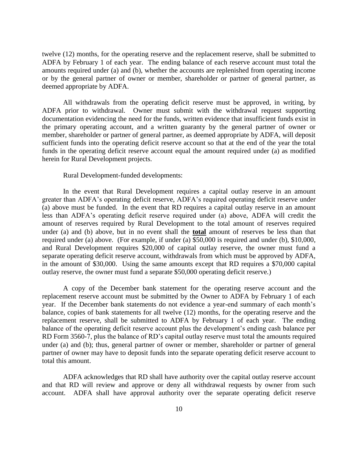twelve (12) months, for the operating reserve and the replacement reserve, shall be submitted to ADFA by February 1 of each year. The ending balance of each reserve account must total the amounts required under (a) and (b), whether the accounts are replenished from operating income or by the general partner of owner or member, shareholder or partner of general partner, as deemed appropriate by ADFA.

All withdrawals from the operating deficit reserve must be approved, in writing, by ADFA prior to withdrawal. Owner must submit with the withdrawal request supporting documentation evidencing the need for the funds, written evidence that insufficient funds exist in the primary operating account, and a written guaranty by the general partner of owner or member, shareholder or partner of general partner, as deemed appropriate by ADFA, will deposit sufficient funds into the operating deficit reserve account so that at the end of the year the total funds in the operating deficit reserve account equal the amount required under (a) as modified herein for Rural Development projects.

#### Rural Development-funded developments:

In the event that Rural Development requires a capital outlay reserve in an amount greater than ADFA's operating deficit reserve, ADFA's required operating deficit reserve under (a) above must be funded. In the event that RD requires a capital outlay reserve in an amount less than ADFA's operating deficit reserve required under (a) above, ADFA will credit the amount of reserves required by Rural Development to the total amount of reserves required under (a) and (b) above, but in no event shall the **total** amount of reserves be less than that required under (a) above. (For example, if under (a) \$50,000 is required and under (b), \$10,000, and Rural Development requires \$20,000 of capital outlay reserve, the owner must fund a separate operating deficit reserve account, withdrawals from which must be approved by ADFA, in the amount of \$30,000. Using the same amounts except that RD requires a \$70,000 capital outlay reserve, the owner must fund a separate \$50,000 operating deficit reserve.)

A copy of the December bank statement for the operating reserve account and the replacement reserve account must be submitted by the Owner to ADFA by February 1 of each year. If the December bank statements do not evidence a year-end summary of each month's balance, copies of bank statements for all twelve (12) months, for the operating reserve and the replacement reserve, shall be submitted to ADFA by February 1 of each year. The ending balance of the operating deficit reserve account plus the development's ending cash balance per RD Form 3560-7, plus the balance of RD's capital outlay reserve must total the amounts required under (a) and (b); thus, general partner of owner or member, shareholder or partner of general partner of owner may have to deposit funds into the separate operating deficit reserve account to total this amount.

ADFA acknowledges that RD shall have authority over the capital outlay reserve account and that RD will review and approve or deny all withdrawal requests by owner from such account. ADFA shall have approval authority over the separate operating deficit reserve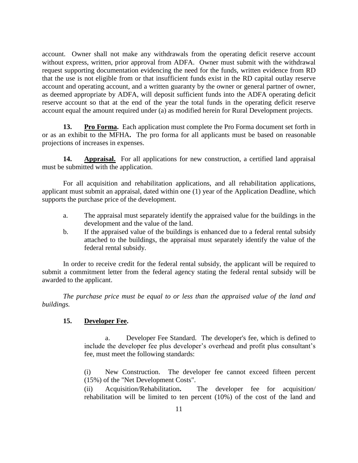account. Owner shall not make any withdrawals from the operating deficit reserve account without express, written, prior approval from ADFA. Owner must submit with the withdrawal request supporting documentation evidencing the need for the funds, written evidence from RD that the use is not eligible from or that insufficient funds exist in the RD capital outlay reserve account and operating account, and a written guaranty by the owner or general partner of owner, as deemed appropriate by ADFA, will deposit sufficient funds into the ADFA operating deficit reserve account so that at the end of the year the total funds in the operating deficit reserve account equal the amount required under (a) as modified herein for Rural Development projects.

**13. Pro Forma.** Each application must complete the Pro Forma document set forth in or as an exhibit to the MFHA**.** The pro forma for all applicants must be based on reasonable projections of increases in expenses.

**14. Appraisal.** For all applications for new construction, a certified land appraisal must be submitted with the application.

For all acquisition and rehabilitation applications, and all rehabilitation applications, applicant must submit an appraisal, dated within one (1) year of the Application Deadline, which supports the purchase price of the development.

- a. The appraisal must separately identify the appraised value for the buildings in the development and the value of the land.
- b. If the appraised value of the buildings is enhanced due to a federal rental subsidy attached to the buildings, the appraisal must separately identify the value of the federal rental subsidy.

In order to receive credit for the federal rental subsidy, the applicant will be required to submit a commitment letter from the federal agency stating the federal rental subsidy will be awarded to the applicant.

*The purchase price must be equal to or less than the appraised value of the land and buildings.*

## **15. Developer Fee.**

a. Developer Fee Standard.The developer's fee, which is defined to include the developer fee plus developer's overhead and profit plus consultant's fee, must meet the following standards:

(i) New Construction. The developer fee cannot exceed fifteen percent (15%) of the "Net Development Costs".

(ii) Acquisition/Rehabilitation**.** The developer fee for acquisition/ rehabilitation will be limited to ten percent (10%) of the cost of the land and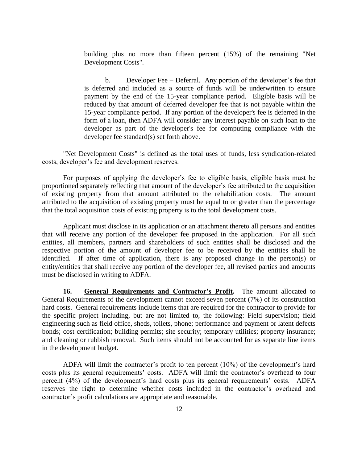building plus no more than fifteen percent (15%) of the remaining "Net Development Costs".

b. Developer Fee – Deferral. Any portion of the developer's fee that is deferred and included as a source of funds will be underwritten to ensure payment by the end of the 15-year compliance period. Eligible basis will be reduced by that amount of deferred developer fee that is not payable within the 15-year compliance period. If any portion of the developer's fee is deferred in the form of a loan, then ADFA will consider any interest payable on such loan to the developer as part of the developer's fee for computing compliance with the developer fee standard(s) set forth above.

"Net Development Costs" is defined as the total uses of funds, less syndication-related costs, developer's fee and development reserves.

For purposes of applying the developer's fee to eligible basis, eligible basis must be proportioned separately reflecting that amount of the developer's fee attributed to the acquisition of existing property from that amount attributed to the rehabilitation costs. The amount attributed to the acquisition of existing property must be equal to or greater than the percentage that the total acquisition costs of existing property is to the total development costs.

Applicant must disclose in its application or an attachment thereto all persons and entities that will receive any portion of the developer fee proposed in the application. For all such entities, all members, partners and shareholders of such entities shall be disclosed and the respective portion of the amount of developer fee to be received by the entities shall be identified. If after time of application, there is any proposed change in the person(s) or entity/entities that shall receive any portion of the developer fee, all revised parties and amounts must be disclosed in writing to ADFA.

**16. General Requirements and Contractor's Profit.** The amount allocated to General Requirements of the development cannot exceed seven percent (7%) of its construction hard costs. General requirements include items that are required for the contractor to provide for the specific project including, but are not limited to, the following: Field supervision; field engineering such as field office, sheds, toilets, phone; performance and payment or latent defects bonds; cost certification; building permits; site security; temporary utilities; property insurance; and cleaning or rubbish removal. Such items should not be accounted for as separate line items in the development budget.

ADFA will limit the contractor's profit to ten percent (10%) of the development's hard costs plus its general requirements' costs. ADFA will limit the contractor's overhead to four percent (4%) of the development's hard costs plus its general requirements' costs. ADFA reserves the right to determine whether costs included in the contractor's overhead and contractor's profit calculations are appropriate and reasonable.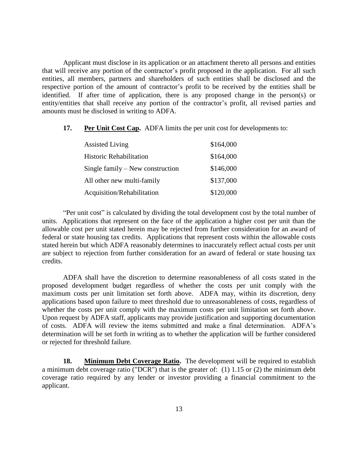Applicant must disclose in its application or an attachment thereto all persons and entities that will receive any portion of the contractor's profit proposed in the application. For all such entities, all members, partners and shareholders of such entities shall be disclosed and the respective portion of the amount of contractor's profit to be received by the entities shall be identified. If after time of application, there is any proposed change in the person(s) or entity/entities that shall receive any portion of the contractor's profit, all revised parties and amounts must be disclosed in writing to ADFA.

**17. Per Unit Cost Cap.** ADFA limits the per unit cost for developments to:

| <b>Assisted Living</b>             | \$164,000 |
|------------------------------------|-----------|
| <b>Historic Rehabilitation</b>     | \$164,000 |
| Single family $-$ New construction | \$146,000 |
| All other new multi-family         | \$137,000 |
| Acquisition/Rehabilitation         | \$120,000 |

"Per unit cost" is calculated by dividing the total development cost by the total number of units. Applications that represent on the face of the application a higher cost per unit than the allowable cost per unit stated herein may be rejected from further consideration for an award of federal or state housing tax credits. Applications that represent costs within the allowable costs stated herein but which ADFA reasonably determines to inaccurately reflect actual costs per unit are subject to rejection from further consideration for an award of federal or state housing tax credits.

ADFA shall have the discretion to determine reasonableness of all costs stated in the proposed development budget regardless of whether the costs per unit comply with the maximum costs per unit limitation set forth above. ADFA may, within its discretion, deny applications based upon failure to meet threshold due to unreasonableness of costs, regardless of whether the costs per unit comply with the maximum costs per unit limitation set forth above. Upon request by ADFA staff, applicants may provide justification and supporting documentation of costs. ADFA will review the items submitted and make a final determination. ADFA's determination will be set forth in writing as to whether the application will be further considered or rejected for threshold failure.

**18. Minimum Debt Coverage Ratio.** The development will be required to establish a minimum debt coverage ratio ("DCR") that is the greater of: (1) 1.15 or (2) the minimum debt coverage ratio required by any lender or investor providing a financial commitment to the applicant.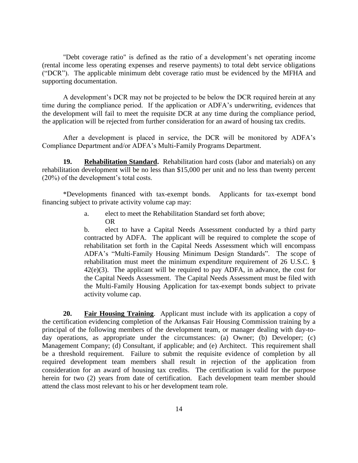"Debt coverage ratio" is defined as the ratio of a development's net operating income (rental income less operating expenses and reserve payments) to total debt service obligations ("DCR"). The applicable minimum debt coverage ratio must be evidenced by the MFHA and supporting documentation.

A development's DCR may not be projected to be below the DCR required herein at any time during the compliance period. If the application or ADFA's underwriting, evidences that the development will fail to meet the requisite DCR at any time during the compliance period, the application will be rejected from further consideration for an award of housing tax credits.

After a development is placed in service, the DCR will be monitored by ADFA's Compliance Department and/or ADFA's Multi-Family Programs Department.

**19. Rehabilitation Standard.** Rehabilitation hard costs (labor and materials) on any rehabilitation development will be no less than \$15,000 per unit and no less than twenty percent (20%) of the development's total costs.

\*Developments financed with tax-exempt bonds. Applicants for tax-exempt bond financing subject to private activity volume cap may:

> a. elect to meet the Rehabilitation Standard set forth above; OR

b. elect to have a Capital Needs Assessment conducted by a third party contracted by ADFA. The applicant will be required to complete the scope of rehabilitation set forth in the Capital Needs Assessment which will encompass ADFA's "Multi-Family Housing Minimum Design Standards". The scope of rehabilitation must meet the minimum expenditure requirement of 26 U.S.C. §  $42(e)(3)$ . The applicant will be required to pay ADFA, in advance, the cost for the Capital Needs Assessment. The Capital Needs Assessment must be filed with the Multi-Family Housing Application for tax-exempt bonds subject to private activity volume cap.

**20. Fair Housing Training**. Applicant must include with its application a copy of the certification evidencing completion of the Arkansas Fair Housing Commission training by a principal of the following members of the development team, or manager dealing with day-today operations, as appropriate under the circumstances: (a) Owner; (b) Developer; (c) Management Company; (d) Consultant, if applicable; and (e) Architect. This requirement shall be a threshold requirement. Failure to submit the requisite evidence of completion by all required development team members shall result in rejection of the application from consideration for an award of housing tax credits. The certification is valid for the purpose herein for two (2) years from date of certification. Each development team member should attend the class most relevant to his or her development team role.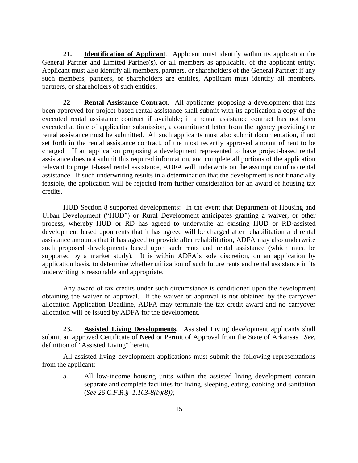**21. Identification of Applicant**. Applicant must identify within its application the General Partner and Limited Partner(s), or all members as applicable, of the applicant entity. Applicant must also identify all members, partners, or shareholders of the General Partner; if any such members, partners, or shareholders are entities, Applicant must identify all members, partners, or shareholders of such entities.

**22 Rental Assistance Contract**. All applicants proposing a development that has been approved for project-based rental assistance shall submit with its application a copy of the executed rental assistance contract if available; if a rental assistance contract has not been executed at time of application submission, a commitment letter from the agency providing the rental assistance must be submitted. All such applicants must also submit documentation, if not set forth in the rental assistance contract, of the most recently approved amount of rent to be charged. If an application proposing a development represented to have project-based rental assistance does not submit this required information, and complete all portions of the application relevant to project-based rental assistance, ADFA will underwrite on the assumption of no rental assistance. If such underwriting results in a determination that the development is not financially feasible, the application will be rejected from further consideration for an award of housing tax credits.

HUD Section 8 supported developments: In the event that Department of Housing and Urban Development ("HUD") or Rural Development anticipates granting a waiver, or other process, whereby HUD or RD has agreed to underwrite an existing HUD or RD-assisted development based upon rents that it has agreed will be charged after rehabilitation and rental assistance amounts that it has agreed to provide after rehabilitation, ADFA may also underwrite such proposed developments based upon such rents and rental assistance (which must be supported by a market study). It is within ADFA's sole discretion, on an application by application basis, to determine whether utilization of such future rents and rental assistance in its underwriting is reasonable and appropriate.

Any award of tax credits under such circumstance is conditioned upon the development obtaining the waiver or approval. If the waiver or approval is not obtained by the carryover allocation Application Deadline, ADFA may terminate the tax credit award and no carryover allocation will be issued by ADFA for the development.

**23. Assisted Living Developments.** Assisted Living development applicants shall submit an approved Certificate of Need or Permit of Approval from the State of Arkansas.*See,*  definition of "Assisted Living" herein.

All assisted living development applications must submit the following representations from the applicant:

a. All low-income housing units within the assisted living development contain separate and complete facilities for living, sleeping, eating, cooking and sanitation (*See 26 C.F.R.§ 1.103-8(b)(8));*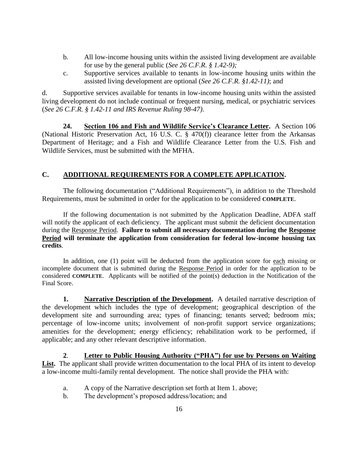- b. All low-income housing units within the assisted living development are available for use by the general public (*See 26 C.F.R. § 1.42-9);*
- c. Supportive services available to tenants in low-income housing units within the assisted living development are optional (*See 26 C.F.R. §1.42-11)*; and

d. Supportive services available for tenants in low-income housing units within the assisted living development do not include continual or frequent nursing, medical, or psychiatric services (*See 26 C.F.R. § 1.42-11 and IRS Revenue Ruling 98-47)*.

**24. Section 106 and Fish and Wildlife Service's Clearance Letter.** A Section 106 (National Historic Preservation Act, 16 U.S. C. § 470(f)) clearance letter from the Arkansas Department of Heritage; and a Fish and Wildlife Clearance Letter from the U.S. Fish and Wildlife Services, must be submitted with the MFHA.

# **C. ADDITIONAL REQUIREMENTS FOR A COMPLETE APPLICATION.**

The following documentation ("Additional Requirements"), in addition to the Threshold Requirements, must be submitted in order for the application to be considered **COMPLETE**.

If the following documentation is not submitted by the Application Deadline, ADFA staff will notify the applicant of each deficiency. The applicant must submit the deficient documentation during the Response Period. **Failure to submit all necessary documentation during the Response Period will terminate the application from consideration for federal low-income housing tax credits**.

In addition, one (1) point will be deducted from the application score for each missing or incomplete document that is submitted during the Response Period in order for the application to be considered **COMPLETE**. Applicants will be notified of the point(s) deduction in the Notification of the Final Score.

**1. Narrative Description of the Development.** A detailed narrative description of the development which includes the type of development; geographical description of the development site and surrounding area; types of financing; tenants served; bedroom mix; percentage of low-income units; involvement of non-profit support service organizations; amenities for the development; energy efficiency; rehabilitation work to be performed, if applicable; and any other relevant descriptive information.

**2**. **Letter to Public Housing Authority ("PHA") for use by Persons on Waiting**  List. The applicant shall provide written documentation to the local PHA of its intent to develop a low-income multi-family rental development. The notice shall provide the PHA with:

- a. A copy of the Narrative description set forth at Item 1. above;
- b. The development's proposed address/location; and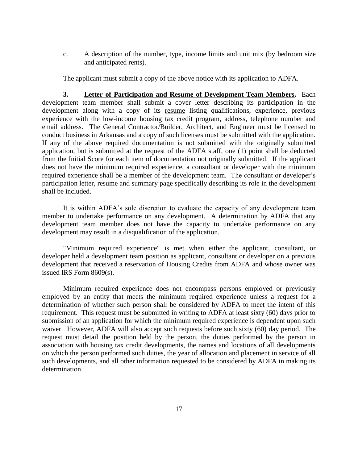c. A description of the number, type, income limits and unit mix (by bedroom size and anticipated rents).

The applicant must submit a copy of the above notice with its application to ADFA.

**3. Letter of Participation and Resume of Development Team Members.** Each development team member shall submit a cover letter describing its participation in the development along with a copy of its resume listing qualifications, experience, previous experience with the low-income housing tax credit program, address, telephone number and email address. The General Contractor/Builder, Architect, and Engineer must be licensed to conduct business in Arkansas and a copy of such licenses must be submitted with the application. If any of the above required documentation is not submitted with the originally submitted application, but is submitted at the request of the ADFA staff, one (1) point shall be deducted from the Initial Score for each item of documentation not originally submitted. If the applicant does not have the minimum required experience, a consultant or developer with the minimum required experience shall be a member of the development team. The consultant or developer's participation letter, resume and summary page specifically describing its role in the development shall be included.

It is within ADFA's sole discretion to evaluate the capacity of any development team member to undertake performance on any development. A determination by ADFA that any development team member does not have the capacity to undertake performance on any development may result in a disqualification of the application.

"Minimum required experience" is met when either the applicant, consultant, or developer held a development team position as applicant, consultant or developer on a previous development that received a reservation of Housing Credits from ADFA and whose owner was issued IRS Form 8609(s).

Minimum required experience does not encompass persons employed or previously employed by an entity that meets the minimum required experience unless a request for a determination of whether such person shall be considered by ADFA to meet the intent of this requirement. This request must be submitted in writing to ADFA at least sixty (60) days prior to submission of an application for which the minimum required experience is dependent upon such waiver. However, ADFA will also accept such requests before such sixty (60) day period. The request must detail the position held by the person, the duties performed by the person in association with housing tax credit developments, the names and locations of all developments on which the person performed such duties, the year of allocation and placement in service of all such developments, and all other information requested to be considered by ADFA in making its determination.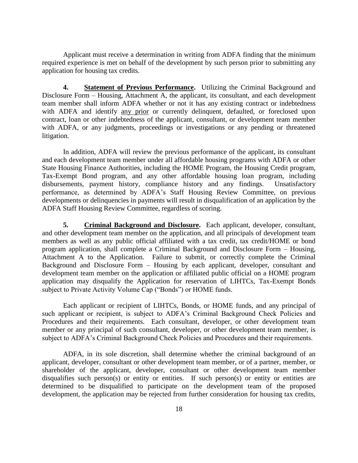Applicant must receive a determination in writing from ADFA finding that the minimum required experience is met on behalf of the development by such person prior to submitting any application for housing tax credits.

**4. Statement of Previous Performance.** Utilizing the Criminal Background and Disclosure Form – Housing, Attachment A, the applicant, its consultant, and each development team member shall inform ADFA whether or not it has any existing contract or indebtedness with ADFA and identify any prior or currently delinquent, defaulted, or foreclosed upon contract, loan or other indebtedness of the applicant, consultant, or development team member with ADFA, or any judgments, proceedings or investigations or any pending or threatened litigation.

In addition, ADFA will review the previous performance of the applicant, its consultant and each development team member under all affordable housing programs with ADFA or other State Housing Finance Authorities, including the HOME Program, the Housing Credit program, Tax-Exempt Bond program, and any other affordable housing loan program, including disbursements, payment history, compliance history and any findings. Unsatisfactory performance, as determined by ADFA's Staff Housing Review Committee, on previous developments or delinquencies in payments will result in disqualification of an application by the ADFA Staff Housing Review Committee, regardless of scoring.

**5. Criminal Background and Disclosure.** Each applicant, developer, consultant, and other development team member on the application, and all principals of development team members as well as any public official affiliated with a tax credit, tax credit/HOME or bond program application, shall complete a Criminal Background and Disclosure Form – Housing, Attachment A to the Application. Failure to submit, or correctly complete the Criminal Background and Disclosure Form – Housing by each applicant, developer, consultant and development team member on the application or affiliated public official on a HOME program application may disqualify the Application for reservation of LIHTCs, Tax-Exempt Bonds subject to Private Activity Volume Cap ("Bonds") or HOME funds.

Each applicant or recipient of LIHTCs, Bonds, or HOME funds, and any principal of such applicant or recipient, is subject to ADFA's Criminal Background Check Policies and Procedures and their requirements. Each consultant, developer, or other development team member or any principal of such consultant, developer, or other development team member, is subject to ADFA's Criminal Background Check Policies and Procedures and their requirements.

ADFA, in its sole discretion, shall determine whether the criminal background of an applicant, developer, consultant or other development team member, or of a partner, member, or shareholder of the applicant, developer, consultant or other development team member disqualifies such person(s) or entity or entities. If such person(s) or entity or entities are determined to be disqualified to participate on the development team of the proposed development, the application may be rejected from further consideration for housing tax credits,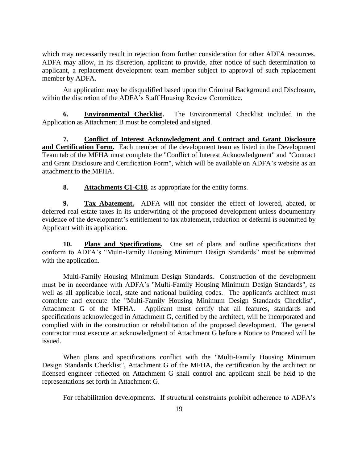which may necessarily result in rejection from further consideration for other ADFA resources. ADFA may allow, in its discretion, applicant to provide, after notice of such determination to applicant, a replacement development team member subject to approval of such replacement member by ADFA.

An application may be disqualified based upon the Criminal Background and Disclosure, within the discretion of the ADFA's Staff Housing Review Committee.

**6. Environmental Checklist.** The Environmental Checklist included in the Application as Attachment B must be completed and signed.

**7. Conflict of Interest Acknowledgment and Contract and Grant Disclosure and Certification Form.** Each member of the development team as listed in the Development Team tab of the MFHA must complete the "Conflict of Interest Acknowledgment" and "Contract and Grant Disclosure and Certification Form", which will be available on ADFA's website as an attachment to the MFHA.

**8. Attachments C1-C18**, as appropriate for the entity forms.

**9. Tax Abatement.** ADFA will not consider the effect of lowered, abated, or deferred real estate taxes in its underwriting of the proposed development unless documentary evidence of the development's entitlement to tax abatement, reduction or deferral is submitted by Applicant with its application.

**10. Plans and Specifications.** One set of plans and outline specifications that conform to ADFA's "Multi-Family Housing Minimum Design Standards" must be submitted with the application.

Multi-Family Housing Minimum Design Standards**.** Construction of the development must be in accordance with ADFA's "Multi-Family Housing Minimum Design Standards", as well as all applicable local, state and national building codes. The applicant's architect must complete and execute the "Multi-Family Housing Minimum Design Standards Checklist", Attachment G of the MFHA. Applicant must certify that all features, standards and specifications acknowledged in Attachment G, certified by the architect, will be incorporated and complied with in the construction or rehabilitation of the proposed development. The general contractor must execute an acknowledgment of Attachment G before a Notice to Proceed will be issued.

When plans and specifications conflict with the "Multi-Family Housing Minimum Design Standards Checklist", Attachment G of the MFHA, the certification by the architect or licensed engineer reflected on Attachment G shall control and applicant shall be held to the representations set forth in Attachment G.

For rehabilitation developments. If structural constraints prohibit adherence to ADFA's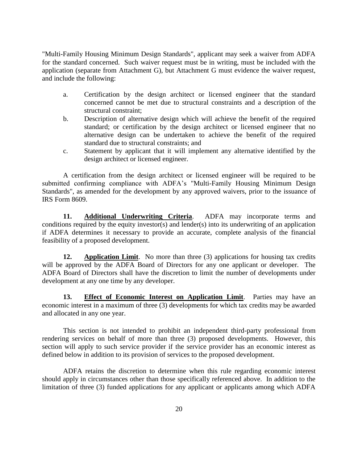"Multi-Family Housing Minimum Design Standards", applicant may seek a waiver from ADFA for the standard concerned. Such waiver request must be in writing, must be included with the application (separate from Attachment G), but Attachment G must evidence the waiver request, and include the following:

- a. Certification by the design architect or licensed engineer that the standard concerned cannot be met due to structural constraints and a description of the structural constraint;
- b. Description of alternative design which will achieve the benefit of the required standard; or certification by the design architect or licensed engineer that no alternative design can be undertaken to achieve the benefit of the required standard due to structural constraints; and
- c. Statement by applicant that it will implement any alternative identified by the design architect or licensed engineer.

A certification from the design architect or licensed engineer will be required to be submitted confirming compliance with ADFA's "Multi-Family Housing Minimum Design Standards", as amended for the development by any approved waivers, prior to the issuance of IRS Form 8609.

**11. Additional Underwriting Criteria**. ADFA may incorporate terms and conditions required by the equity investor(s) and lender(s) into its underwriting of an application if ADFA determines it necessary to provide an accurate, complete analysis of the financial feasibility of a proposed development.

**12. Application Limit**. No more than three (3) applications for housing tax credits will be approved by the ADFA Board of Directors for any one applicant or developer. The ADFA Board of Directors shall have the discretion to limit the number of developments under development at any one time by any developer.

**13. Effect of Economic Interest on Application Limit**. Parties may have an economic interest in a maximum of three (3) developments for which tax credits may be awarded and allocated in any one year.

This section is not intended to prohibit an independent third-party professional from rendering services on behalf of more than three (3) proposed developments. However, this section will apply to such service provider if the service provider has an economic interest as defined below in addition to its provision of services to the proposed development.

ADFA retains the discretion to determine when this rule regarding economic interest should apply in circumstances other than those specifically referenced above. In addition to the limitation of three (3) funded applications for any applicant or applicants among which ADFA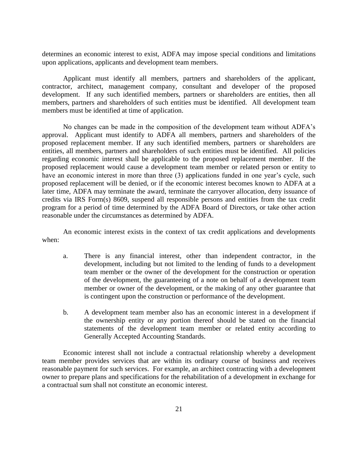determines an economic interest to exist, ADFA may impose special conditions and limitations upon applications, applicants and development team members.

Applicant must identify all members, partners and shareholders of the applicant, contractor, architect, management company, consultant and developer of the proposed development. If any such identified members, partners or shareholders are entities, then all members, partners and shareholders of such entities must be identified. All development team members must be identified at time of application.

No changes can be made in the composition of the development team without ADFA's approval. Applicant must identify to ADFA all members, partners and shareholders of the proposed replacement member. If any such identified members, partners or shareholders are entities, all members, partners and shareholders of such entities must be identified. All policies regarding economic interest shall be applicable to the proposed replacement member. If the proposed replacement would cause a development team member or related person or entity to have an economic interest in more than three (3) applications funded in one year's cycle, such proposed replacement will be denied, or if the economic interest becomes known to ADFA at a later time, ADFA may terminate the award, terminate the carryover allocation, deny issuance of credits via IRS Form(s) 8609, suspend all responsible persons and entities from the tax credit program for a period of time determined by the ADFA Board of Directors, or take other action reasonable under the circumstances as determined by ADFA.

An economic interest exists in the context of tax credit applications and developments when:

- a. There is any financial interest, other than independent contractor, in the development, including but not limited to the lending of funds to a development team member or the owner of the development for the construction or operation of the development, the guaranteeing of a note on behalf of a development team member or owner of the development, or the making of any other guarantee that is contingent upon the construction or performance of the development.
- b. A development team member also has an economic interest in a development if the ownership entity or any portion thereof should be stated on the financial statements of the development team member or related entity according to Generally Accepted Accounting Standards.

Economic interest shall not include a contractual relationship whereby a development team member provides services that are within its ordinary course of business and receives reasonable payment for such services. For example, an architect contracting with a development owner to prepare plans and specifications for the rehabilitation of a development in exchange for a contractual sum shall not constitute an economic interest.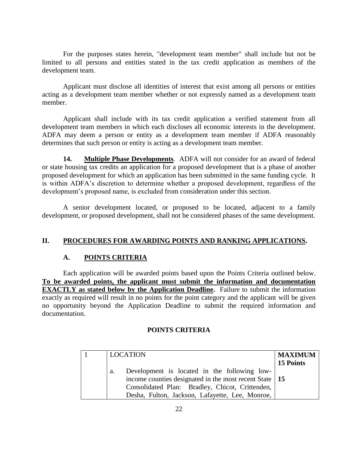For the purposes states herein, "development team member" shall include but not be limited to all persons and entities stated in the tax credit application as members of the development team.

Applicant must disclose all identities of interest that exist among all persons or entities acting as a development team member whether or not expressly named as a development team member.

Applicant shall include with its tax credit application a verified statement from all development team members in which each discloses all economic interests in the development. ADFA may deem a person or entity as a development team member if ADFA reasonably determines that such person or entity is acting as a development team member.

**14. Multiple Phase Developments**. ADFA will not consider for an award of federal or state housing tax credits an application for a proposed development that is a phase of another proposed development for which an application has been submitted in the same funding cycle. It is within ADFA's discretion to determine whether a proposed development, regardless of the development's proposed name, is excluded from consideration under this section.

A senior development located, or proposed to be located, adjacent to a family development, or proposed development, shall not be considered phases of the same development.

## **II. PROCEDURES FOR AWARDING POINTS AND RANKING APPLICATIONS.**

#### **A. POINTS CRITERIA**

Each application will be awarded points based upon the Points Criteria outlined below. **To be awarded points, the applicant must submit the information and documentation EXACTLY as stated below by the Application Deadline.** Failure to submit the information exactly as required will result in no points for the point category and the applicant will be given no opportunity beyond the Application Deadline to submit the required information and documentation.

#### **POINTS CRITERIA**

|    | <b>LOCATION</b>                                          | <b>MAXIMUM</b> |
|----|----------------------------------------------------------|----------------|
|    |                                                          | 15 Points      |
| a. | Development is located in the following low-             |                |
|    | income counties designated in the most recent State   15 |                |
|    | Consolidated Plan: Bradley, Chicot, Crittenden,          |                |
|    | Desha, Fulton, Jackson, Lafayette, Lee, Monroe,          |                |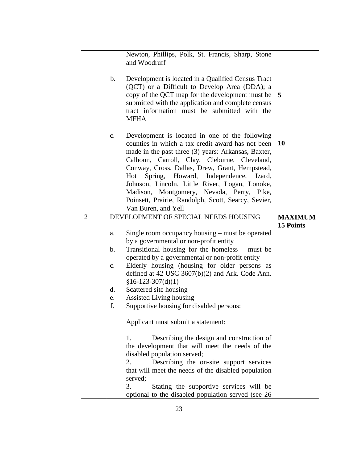|                |                                              | Newton, Phillips, Polk, St. Francis, Sharp, Stone<br>and Woodruff                                                                                                                                                                                                                                                                                                                                                                                                                           |                  |
|----------------|----------------------------------------------|---------------------------------------------------------------------------------------------------------------------------------------------------------------------------------------------------------------------------------------------------------------------------------------------------------------------------------------------------------------------------------------------------------------------------------------------------------------------------------------------|------------------|
|                | b.                                           | Development is located in a Qualified Census Tract<br>(QCT) or a Difficult to Develop Area (DDA); a<br>copy of the QCT map for the development must be<br>submitted with the application and complete census<br>tract information must be submitted with the<br><b>MFHA</b>                                                                                                                                                                                                                 | 5                |
|                | $\mathbf{c}$ .                               | Development is located in one of the following<br>counties in which a tax credit award has not been<br>made in the past three (3) years: Arkansas, Baxter,<br>Calhoun, Carroll, Clay, Cleburne, Cleveland,<br>Conway, Cross, Dallas, Drew, Grant, Hempstead,<br>Spring, Howard, Independence,<br>Hot<br>Izard,<br>Johnson, Lincoln, Little River, Logan, Lonoke,<br>Madison, Montgomery, Nevada, Perry, Pike,<br>Poinsett, Prairie, Randolph, Scott, Searcy, Sevier,<br>Van Buren, and Yell | 10               |
| $\overline{2}$ |                                              | DEVELOPMENT OF SPECIAL NEEDS HOUSING                                                                                                                                                                                                                                                                                                                                                                                                                                                        | <b>MAXIMUM</b>   |
|                | a.<br>b.<br>$\mathbf{c}$ .<br>d.<br>e.<br>f. | Single room occupancy housing – must be operated<br>by a governmental or non-profit entity<br>Transitional housing for the homeless – must be<br>operated by a governmental or non-profit entity<br>Elderly housing (housing for older persons as<br>defined at 42 USC $3607(b)(2)$ and Ark. Code Ann.<br>$$16-123-307(d)(1)$<br>Scattered site housing<br>Assisted Living housing<br>Supportive housing for disabled persons:<br>Applicant must submit a statement:                        | <b>15 Points</b> |
|                |                                              | Describing the design and construction of<br>1.<br>the development that will meet the needs of the<br>disabled population served;<br>Describing the on-site support services<br>2.<br>that will meet the needs of the disabled population<br>served;<br>Stating the supportive services will be<br>3.<br>optional to the disabled population served (see 26)                                                                                                                                |                  |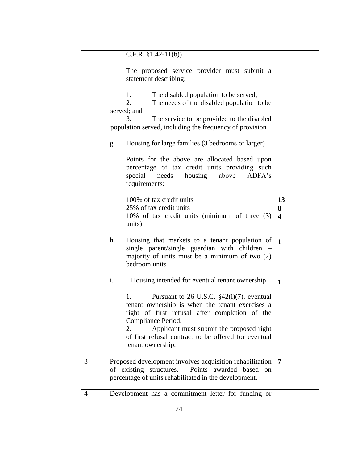|   | C.F.R. $$1.42-11(b)$                                                                                                                                                                                                                                                                                         |                                    |
|---|--------------------------------------------------------------------------------------------------------------------------------------------------------------------------------------------------------------------------------------------------------------------------------------------------------------|------------------------------------|
|   | The proposed service provider must submit a<br>statement describing:                                                                                                                                                                                                                                         |                                    |
|   | The disabled population to be served;<br>1.<br>2.<br>The needs of the disabled population to be<br>served; and                                                                                                                                                                                               |                                    |
|   | The service to be provided to the disabled<br>3.<br>population served, including the frequency of provision                                                                                                                                                                                                  |                                    |
|   | Housing for large families (3 bedrooms or larger)<br>g.                                                                                                                                                                                                                                                      |                                    |
|   | Points for the above are allocated based upon<br>percentage of tax credit units providing such<br>housing<br>above<br>ADFA's<br>special<br>needs<br>requirements:                                                                                                                                            |                                    |
|   | 100% of tax credit units<br>25% of tax credit units<br>10% of tax credit units (minimum of three (3)<br>units)                                                                                                                                                                                               | 13<br>8<br>$\overline{\mathbf{4}}$ |
|   | Housing that markets to a tenant population of<br>h.<br>single parent/single guardian with children –<br>majority of units must be a minimum of two $(2)$<br>bedroom units                                                                                                                                   | $\mathbf{1}$                       |
|   | i.<br>Housing intended for eventual tenant ownership                                                                                                                                                                                                                                                         | $\mathbf{1}$                       |
|   | 1.<br>Pursuant to 26 U.S.C. $$42(i)(7)$ , eventual<br>tenant ownership is when the tenant exercises a<br>right of first refusal after completion of the<br>Compliance Period.<br>2.<br>Applicant must submit the proposed right<br>of first refusal contract to be offered for eventual<br>tenant ownership. |                                    |
| 3 | Proposed development involves acquisition rehabilitation                                                                                                                                                                                                                                                     | 7                                  |
|   | Points awarded based<br>of existing structures.<br>on<br>percentage of units rehabilitated in the development.                                                                                                                                                                                               |                                    |
| 4 | Development has a commitment letter for funding or                                                                                                                                                                                                                                                           |                                    |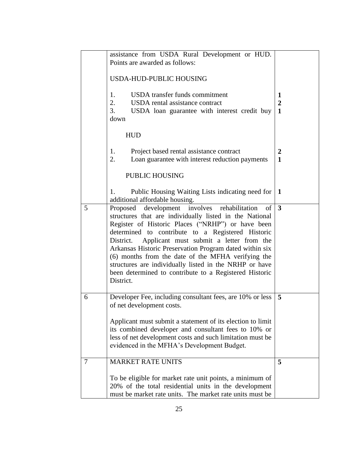|   | assistance from USDA Rural Development or HUD.<br>Points are awarded as follows:                                                                                                                                                                                                                                                                                                                                                                                                                                                     |                          |
|---|--------------------------------------------------------------------------------------------------------------------------------------------------------------------------------------------------------------------------------------------------------------------------------------------------------------------------------------------------------------------------------------------------------------------------------------------------------------------------------------------------------------------------------------|--------------------------|
|   | USDA-HUD-PUBLIC HOUSING                                                                                                                                                                                                                                                                                                                                                                                                                                                                                                              |                          |
|   | USDA transfer funds commitment<br>1.<br>2.<br>USDA rental assistance contract<br>3.<br>USDA loan guarantee with interest credit buy<br>down                                                                                                                                                                                                                                                                                                                                                                                          | 1<br>$\overline{2}$<br>1 |
|   | <b>HUD</b>                                                                                                                                                                                                                                                                                                                                                                                                                                                                                                                           |                          |
|   | Project based rental assistance contract<br>1.<br>2.<br>Loan guarantee with interest reduction payments                                                                                                                                                                                                                                                                                                                                                                                                                              | $\boldsymbol{2}$<br>1    |
|   | PUBLIC HOUSING                                                                                                                                                                                                                                                                                                                                                                                                                                                                                                                       |                          |
|   | Public Housing Waiting Lists indicating need for<br>1.<br>additional affordable housing.                                                                                                                                                                                                                                                                                                                                                                                                                                             | -1                       |
| 5 | development involves rehabilitation<br>of<br>Proposed<br>structures that are individually listed in the National<br>Register of Historic Places ("NRHP") or have been<br>determined to contribute to a Registered Historic<br>Applicant must submit a letter from the<br>District.<br>Arkansas Historic Preservation Program dated within six<br>(6) months from the date of the MFHA verifying the<br>structures are individually listed in the NRHP or have<br>been determined to contribute to a Registered Historic<br>District. | $\overline{3}$           |
| 6 | Developer Fee, including consultant fees, are 10% or less<br>of net development costs.<br>Applicant must submit a statement of its election to limit                                                                                                                                                                                                                                                                                                                                                                                 | 5                        |
|   | its combined developer and consultant fees to 10% or<br>less of net development costs and such limitation must be<br>evidenced in the MFHA's Development Budget.                                                                                                                                                                                                                                                                                                                                                                     |                          |
| 7 | <b>MARKET RATE UNITS</b>                                                                                                                                                                                                                                                                                                                                                                                                                                                                                                             | 5                        |
|   | To be eligible for market rate unit points, a minimum of<br>20% of the total residential units in the development<br>must be market rate units. The market rate units must be                                                                                                                                                                                                                                                                                                                                                        |                          |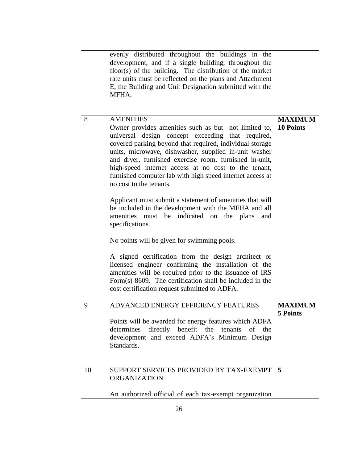|    | evenly distributed throughout the buildings in the<br>development, and if a single building, throughout the<br>floor(s) of the building. The distribution of the market<br>rate units must be reflected on the plans and Attachment<br>E, the Building and Unit Designation submitted with the<br>MFHA.                                                                                                                                                      |                                    |
|----|--------------------------------------------------------------------------------------------------------------------------------------------------------------------------------------------------------------------------------------------------------------------------------------------------------------------------------------------------------------------------------------------------------------------------------------------------------------|------------------------------------|
| 8  | <b>AMENITIES</b><br>Owner provides amenities such as but not limited to,<br>universal design concept exceeding that required,<br>covered parking beyond that required, individual storage<br>units, microwave, dishwasher, supplied in-unit washer<br>and dryer, furnished exercise room, furnished in-unit,<br>high-speed internet access at no cost to the tenant,<br>furnished computer lab with high speed internet access at<br>no cost to the tenants. | <b>MAXIMUM</b><br><b>10 Points</b> |
|    | Applicant must submit a statement of amenities that will<br>be included in the development with the MFHA and all<br>amenities must be indicated on the plans<br>and<br>specifications.<br>No points will be given for swimming pools.<br>A signed certification from the design architect or<br>licensed engineer confirming the installation of the                                                                                                         |                                    |
|    | amenities will be required prior to the issuance of IRS<br>Form(s) 8609. The certification shall be included in the<br>cost certification request submitted to ADFA.                                                                                                                                                                                                                                                                                         |                                    |
| 9  | ADVANCED ENERGY EFFICIENCY FEATURES<br>Points will be awarded for energy features which ADFA<br>determines<br>directly benefit the tenants<br>of the<br>development and exceed ADFA's Minimum Design<br>Standards.                                                                                                                                                                                                                                           | <b>MAXIMUM</b><br>5 Points         |
| 10 | SUPPORT SERVICES PROVIDED BY TAX-EXEMPT<br><b>ORGANIZATION</b><br>An authorized official of each tax-exempt organization                                                                                                                                                                                                                                                                                                                                     | 5                                  |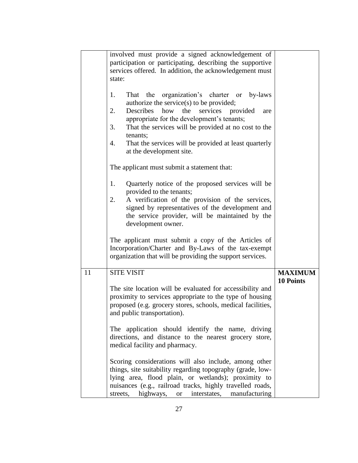|    | involved must provide a signed acknowledgement of<br>participation or participating, describing the supportive<br>services offered. In addition, the acknowledgement must<br>state:                                                                                                                                                                                                |                                    |
|----|------------------------------------------------------------------------------------------------------------------------------------------------------------------------------------------------------------------------------------------------------------------------------------------------------------------------------------------------------------------------------------|------------------------------------|
|    | organization's charter or<br>1.<br>That the<br>by-laws<br>authorize the service(s) to be provided;<br>2.<br>Describes<br>how<br>the<br>services provided<br>are<br>appropriate for the development's tenants;<br>3.<br>That the services will be provided at no cost to the<br>tenants;<br>That the services will be provided at least quarterly<br>4.<br>at the development site. |                                    |
|    | The applicant must submit a statement that:                                                                                                                                                                                                                                                                                                                                        |                                    |
|    | Quarterly notice of the proposed services will be<br>1.<br>provided to the tenants;<br>A verification of the provision of the services,<br>2.<br>signed by representatives of the development and<br>the service provider, will be maintained by the<br>development owner.                                                                                                         |                                    |
|    | The applicant must submit a copy of the Articles of<br>Incorporation/Charter and By-Laws of the tax-exempt<br>organization that will be providing the support services.                                                                                                                                                                                                            |                                    |
| 11 | <b>SITE VISIT</b>                                                                                                                                                                                                                                                                                                                                                                  | <b>MAXIMUM</b><br><b>10 Points</b> |
|    | The site location will be evaluated for accessibility and<br>proximity to services appropriate to the type of housing<br>proposed (e.g. grocery stores, schools, medical facilities,<br>and public transportation).                                                                                                                                                                |                                    |
|    | The application should identify the name, driving<br>directions, and distance to the nearest grocery store,<br>medical facility and pharmacy.                                                                                                                                                                                                                                      |                                    |
|    | Scoring considerations will also include, among other<br>things, site suitability regarding topography (grade, low-<br>lying area, flood plain, or wetlands); proximity to<br>nuisances (e.g., railroad tracks, highly travelled roads,<br>streets, highways, or interstates, manufacturing                                                                                        |                                    |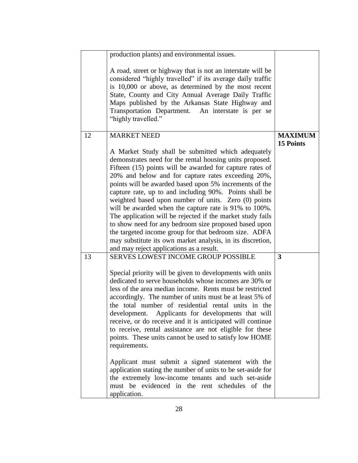|    | production plants) and environmental issues.                                                                                                                                                                                                                                                                                                                                                                                                                                                                                                                                                                                                                                                                                                                    |                  |
|----|-----------------------------------------------------------------------------------------------------------------------------------------------------------------------------------------------------------------------------------------------------------------------------------------------------------------------------------------------------------------------------------------------------------------------------------------------------------------------------------------------------------------------------------------------------------------------------------------------------------------------------------------------------------------------------------------------------------------------------------------------------------------|------------------|
|    | A road, street or highway that is not an interstate will be<br>considered "highly travelled" if its average daily traffic<br>is 10,000 or above, as determined by the most recent<br>State, County and City Annual Average Daily Traffic<br>Maps published by the Arkansas State Highway and<br>Transportation Department. An interstate is per se<br>"highly travelled."                                                                                                                                                                                                                                                                                                                                                                                       |                  |
| 12 | <b>MARKET NEED</b>                                                                                                                                                                                                                                                                                                                                                                                                                                                                                                                                                                                                                                                                                                                                              | <b>MAXIMUM</b>   |
|    | A Market Study shall be submitted which adequately<br>demonstrates need for the rental housing units proposed.<br>Fifteen (15) points will be awarded for capture rates of<br>20% and below and for capture rates exceeding 20%,<br>points will be awarded based upon 5% increments of the<br>capture rate, up to and including 90%. Points shall be<br>weighted based upon number of units. Zero (0) points<br>will be awarded when the capture rate is 91% to 100%.<br>The application will be rejected if the market study fails<br>to show need for any bedroom size proposed based upon<br>the targeted income group for that bedroom size. ADFA<br>may substitute its own market analysis, in its discretion,<br>and may reject applications as a result. | <b>15 Points</b> |
| 13 | <b>SERVES LOWEST INCOME GROUP POSSIBLE</b>                                                                                                                                                                                                                                                                                                                                                                                                                                                                                                                                                                                                                                                                                                                      | 3                |
|    | Special priority will be given to developments with units<br>dedicated to serve households whose incomes are 30% or<br>less of the area median income. Rents must be restricted<br>accordingly. The number of units must be at least 5% of<br>the total number of residential rental units in the<br>development.<br>Applicants for developments that will<br>receive, or do receive and it is anticipated will continue<br>to receive, rental assistance are not eligible for these<br>points. These units cannot be used to satisfy low HOME<br>requirements.                                                                                                                                                                                                 |                  |
|    | Applicant must submit a signed statement with the<br>application stating the number of units to be set-aside for<br>the extremely low-income tenants and such set-aside<br>must be evidenced in the rent schedules of the<br>application.                                                                                                                                                                                                                                                                                                                                                                                                                                                                                                                       |                  |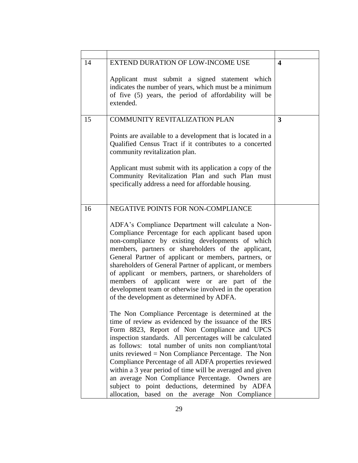| 14 | EXTEND DURATION OF LOW-INCOME USE<br>Applicant must submit a signed statement which<br>indicates the number of years, which must be a minimum<br>of five (5) years, the period of affordability will be<br>extended.                                                                                                                                                                                                                                                                                                                                                                                                                                                                                                                                                                                                                                                                                                                                                                                                                                                                                                                                                                                                              | $\overline{\mathbf{4}}$ |
|----|-----------------------------------------------------------------------------------------------------------------------------------------------------------------------------------------------------------------------------------------------------------------------------------------------------------------------------------------------------------------------------------------------------------------------------------------------------------------------------------------------------------------------------------------------------------------------------------------------------------------------------------------------------------------------------------------------------------------------------------------------------------------------------------------------------------------------------------------------------------------------------------------------------------------------------------------------------------------------------------------------------------------------------------------------------------------------------------------------------------------------------------------------------------------------------------------------------------------------------------|-------------------------|
| 15 | <b>COMMUNITY REVITALIZATION PLAN</b><br>Points are available to a development that is located in a<br>Qualified Census Tract if it contributes to a concerted<br>community revitalization plan.<br>Applicant must submit with its application a copy of the<br>Community Revitalization Plan and such Plan must<br>specifically address a need for affordable housing.                                                                                                                                                                                                                                                                                                                                                                                                                                                                                                                                                                                                                                                                                                                                                                                                                                                            | 3                       |
| 16 | NEGATIVE POINTS FOR NON-COMPLIANCE<br>ADFA's Compliance Department will calculate a Non-<br>Compliance Percentage for each applicant based upon<br>non-compliance by existing developments of which<br>members, partners or shareholders of the applicant,<br>General Partner of applicant or members, partners, or<br>shareholders of General Partner of applicant, or members<br>of applicant or members, partners, or shareholders of<br>members of applicant were or are part of the<br>development team or otherwise involved in the operation<br>of the development as determined by ADFA.<br>The Non Compliance Percentage is determined at the<br>time of review as evidenced by the issuance of the IRS<br>Form 8823, Report of Non Compliance and UPCS<br>inspection standards. All percentages will be calculated<br>as follows: total number of units non compliant/total<br>units reviewed $=$ Non Compliance Percentage. The Non<br>Compliance Percentage of all ADFA properties reviewed<br>within a 3 year period of time will be averaged and given<br>an average Non Compliance Percentage.<br>Owners are<br>subject to point deductions, determined by ADFA<br>allocation, based on the average Non Compliance |                         |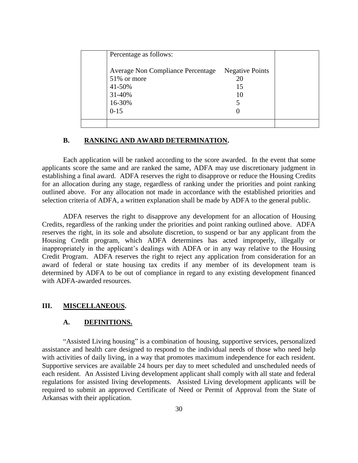| Percentage as follows:                                                                     |                                          |  |
|--------------------------------------------------------------------------------------------|------------------------------------------|--|
| Average Non Compliance Percentage<br>51% or more<br>41-50%<br>31-40%<br>16-30%<br>$0 - 15$ | <b>Negative Points</b><br>20<br>15<br>10 |  |
|                                                                                            |                                          |  |

#### **B. RANKING AND AWARD DETERMINATION.**

Each application will be ranked according to the score awarded. In the event that some applicants score the same and are ranked the same, ADFA may use discretionary judgment in establishing a final award. ADFA reserves the right to disapprove or reduce the Housing Credits for an allocation during any stage, regardless of ranking under the priorities and point ranking outlined above. For any allocation not made in accordance with the established priorities and selection criteria of ADFA, a written explanation shall be made by ADFA to the general public.

ADFA reserves the right to disapprove any development for an allocation of Housing Credits, regardless of the ranking under the priorities and point ranking outlined above. ADFA reserves the right, in its sole and absolute discretion, to suspend or bar any applicant from the Housing Credit program, which ADFA determines has acted improperly, illegally or inappropriately in the applicant's dealings with ADFA or in any way relative to the Housing Credit Program. ADFA reserves the right to reject any application from consideration for an award of federal or state housing tax credits if any member of its development team is determined by ADFA to be out of compliance in regard to any existing development financed with ADFA-awarded resources.

#### **III. MISCELLANEOUS.**

#### **A. DEFINITIONS.**

"Assisted Living housing" is a combination of housing, supportive services, personalized assistance and health care designed to respond to the individual needs of those who need help with activities of daily living, in a way that promotes maximum independence for each resident. Supportive services are available 24 hours per day to meet scheduled and unscheduled needs of each resident. An Assisted Living development applicant shall comply with all state and federal regulations for assisted living developments. Assisted Living development applicants will be required to submit an approved Certificate of Need or Permit of Approval from the State of Arkansas with their application.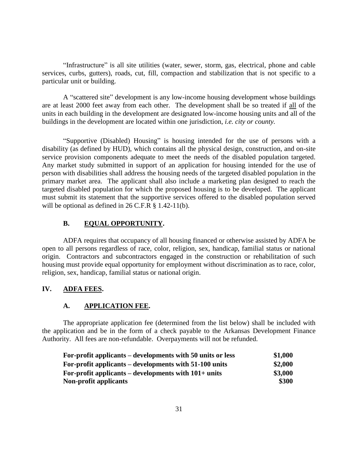"Infrastructure" is all site utilities (water, sewer, storm, gas, electrical, phone and cable services, curbs, gutters), roads, cut, fill, compaction and stabilization that is not specific to a particular unit or building.

A "scattered site" development is any low-income housing development whose buildings are at least 2000 feet away from each other. The development shall be so treated if all of the units in each building in the development are designated low-income housing units and all of the buildings in the development are located within one jurisdiction, *i.e. city or county.*

"Supportive (Disabled) Housing" is housing intended for the use of persons with a disability (as defined by HUD), which contains all the physical design, construction, and on-site service provision components adequate to meet the needs of the disabled population targeted. Any market study submitted in support of an application for housing intended for the use of person with disabilities shall address the housing needs of the targeted disabled population in the primary market area. The applicant shall also include a marketing plan designed to reach the targeted disabled population for which the proposed housing is to be developed. The applicant must submit its statement that the supportive services offered to the disabled population served will be optional as defined in 26 C.F.R § 1.42-11(b).

#### **B. EQUAL OPPORTUNITY.**

ADFA requires that occupancy of all housing financed or otherwise assisted by ADFA be open to all persons regardless of race, color, religion, sex, handicap, familial status or national origin. Contractors and subcontractors engaged in the construction or rehabilitation of such housing must provide equal opportunity for employment without discrimination as to race, color, religion, sex, handicap, familial status or national origin.

#### **IV. ADFA FEES.**

#### **A. APPLICATION FEE.**

The appropriate application fee (determined from the list below) shall be included with the application and be in the form of a check payable to the Arkansas Development Finance Authority. All fees are non-refundable. Overpayments will not be refunded.

| For-profit applicants – developments with 50 units or less | \$1,000 |
|------------------------------------------------------------|---------|
| For-profit applicants – developments with 51-100 units     | \$2,000 |
| For-profit applicants – developments with $101+$ units     | \$3,000 |
| Non-profit applicants                                      | \$300   |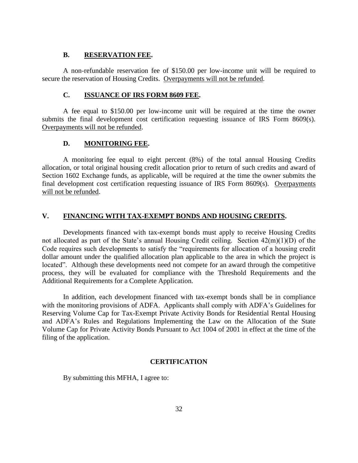## **B. RESERVATION FEE.**

A non-refundable reservation fee of \$150.00 per low-income unit will be required to secure the reservation of Housing Credits. Overpayments will not be refunded.

#### **C. ISSUANCE OF IRS FORM 8609 FEE.**

A fee equal to \$150.00 per low-income unit will be required at the time the owner submits the final development cost certification requesting issuance of IRS Form 8609(s). Overpayments will not be refunded.

#### **D. MONITORING FEE.**

A monitoring fee equal to eight percent (8%) of the total annual Housing Credits allocation, or total original housing credit allocation prior to return of such credits and award of Section 1602 Exchange funds, as applicable, will be required at the time the owner submits the final development cost certification requesting issuance of IRS Form 8609(s). Overpayments will not be refunded.

#### **V. FINANCING WITH TAX-EXEMPT BONDS AND HOUSING CREDITS.**

Developments financed with tax-exempt bonds must apply to receive Housing Credits not allocated as part of the State's annual Housing Credit ceiling. Section 42(m)(1)(D) of the Code requires such developments to satisfy the "requirements for allocation of a housing credit dollar amount under the qualified allocation plan applicable to the area in which the project is located". Although these developments need not compete for an award through the competitive process, they will be evaluated for compliance with the Threshold Requirements and the Additional Requirements for a Complete Application.

In addition, each development financed with tax-exempt bonds shall be in compliance with the monitoring provisions of ADFA. Applicants shall comply with ADFA's Guidelines for Reserving Volume Cap for Tax-Exempt Private Activity Bonds for Residential Rental Housing and ADFA's Rules and Regulations Implementing the Law on the Allocation of the State Volume Cap for Private Activity Bonds Pursuant to Act 1004 of 2001 in effect at the time of the filing of the application.

#### **CERTIFICATION**

By submitting this MFHA, I agree to: